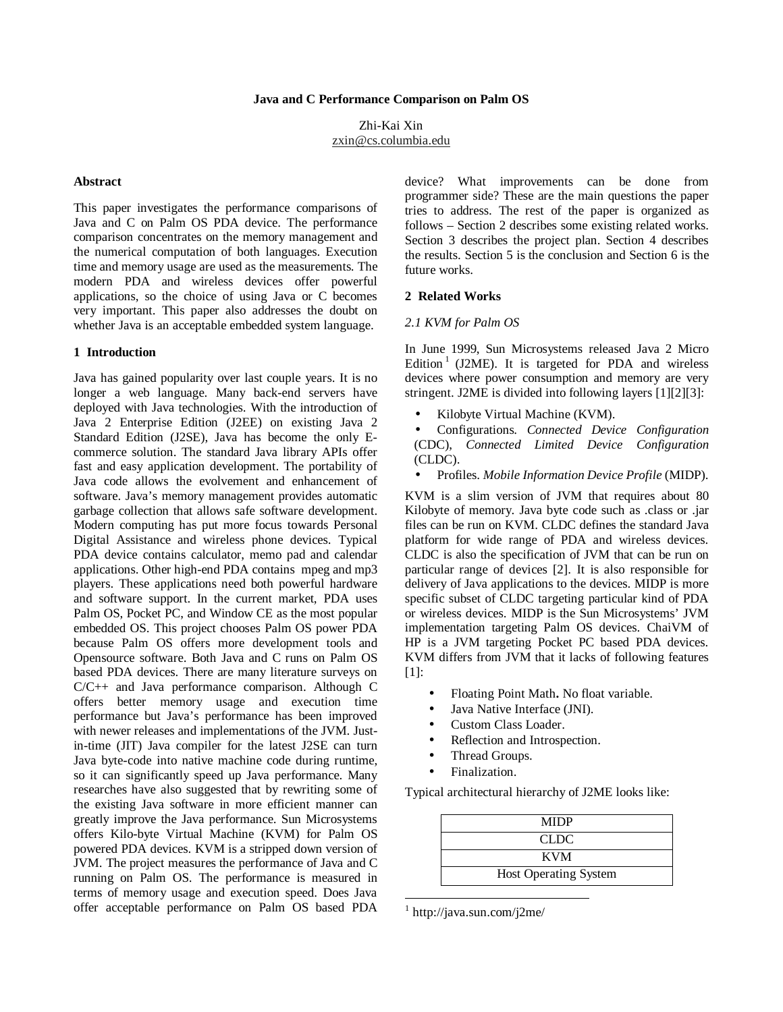Zhi-Kai Xin zxin@cs.columbia.edu

#### **Abstract**

This paper investigates the performance comparisons of Java and C on Palm OS PDA device. The performance comparison concentrates on the memory management and the numerical computation of both languages. Execution time and memory usage are used as the measurements. The modern PDA and wireless devices offer powerful applications, so the choice of using Java or C becomes very important. This paper also addresses the doubt on whether Java is an acceptable embedded system language.

### **1 Introduction**

Java has gained popularity over last couple years. It is no longer a web language. Many back-end servers have deployed with Java technologies. With the introduction of Java 2 Enterprise Edition (J2EE) on existing Java 2 Standard Edition (J2SE), Java has become the only Ecommerce solution. The standard Java library APIs offer fast and easy application development. The portability of Java code allows the evolvement and enhancement of software. Java's memory management provides automatic garbage collection that allows safe software development. Modern computing has put more focus towards Personal Digital Assistance and wireless phone devices. Typical PDA device contains calculator, memo pad and calendar applications. Other high-end PDA contains mpeg and mp3 players. These applications need both powerful hardware and software support. In the current market, PDA uses Palm OS, Pocket PC, and Window CE as the most popular embedded OS. This project chooses Palm OS power PDA because Palm OS offers more development tools and Opensource software. Both Java and C runs on Palm OS based PDA devices. There are many literature surveys on C/C++ and Java performance comparison. Although C offers better memory usage and execution time performance but Java's performance has been improved with newer releases and implementations of the JVM. Justin-time (JIT) Java compiler for the latest J2SE can turn Java byte-code into native machine code during runtime, so it can significantly speed up Java performance. Many researches have also suggested that by rewriting some of the existing Java software in more efficient manner can greatly improve the Java performance. Sun Microsystems offers Kilo-byte Virtual Machine (KVM) for Palm OS powered PDA devices. KVM is a stripped down version of JVM. The project measures the performance of Java and C running on Palm OS. The performance is measured in terms of memory usage and execution speed. Does Java offer acceptable performance on Palm OS based PDA

device? What improvements can be done from programmer side? These are the main questions the paper tries to address. The rest of the paper is organized as follows – Section 2 describes some existing related works. Section 3 describes the project plan. Section 4 describes the results. Section 5 is the conclusion and Section 6 is the future works.

#### **2 Related Works**

#### *2.1 KVM for Palm OS*

In June 1999, Sun Microsystems released Java 2 Micro Edition<sup>1</sup> (J2ME). It is targeted for PDA and wireless devices where power consumption and memory are very stringent. J2ME is divided into following layers [1][2][3]:

- Kilobyte Virtual Machine (KVM).
- Configurations. *Connected Device Configuration* (CDC), *Connected Limited Device Configuration* (CLDC).
- Profiles. *Mobile Information Device Profile* (MIDP).

KVM is a slim version of JVM that requires about 80 Kilobyte of memory. Java byte code such as .class or .jar files can be run on KVM. CLDC defines the standard Java platform for wide range of PDA and wireless devices. CLDC is also the specification of JVM that can be run on particular range of devices [2]. It is also responsible for delivery of Java applications to the devices. MIDP is more specific subset of CLDC targeting particular kind of PDA or wireless devices. MIDP is the Sun Microsystems' JVM implementation targeting Palm OS devices. ChaiVM of HP is a JVM targeting Pocket PC based PDA devices. KVM differs from JVM that it lacks of following features [1]:

- Floating Point Math**.** No float variable.
- Java Native Interface (JNI).
- Custom Class Loader.
- Reflection and Introspection.
- Thread Groups.
- Finalization.

Typical architectural hierarchy of J2ME looks like:

| <b>MIDP</b>                  |
|------------------------------|
| CLDC.                        |
| <b>KVM</b>                   |
| <b>Host Operating System</b> |

<sup>1</sup> http://java.sun.com/j2me/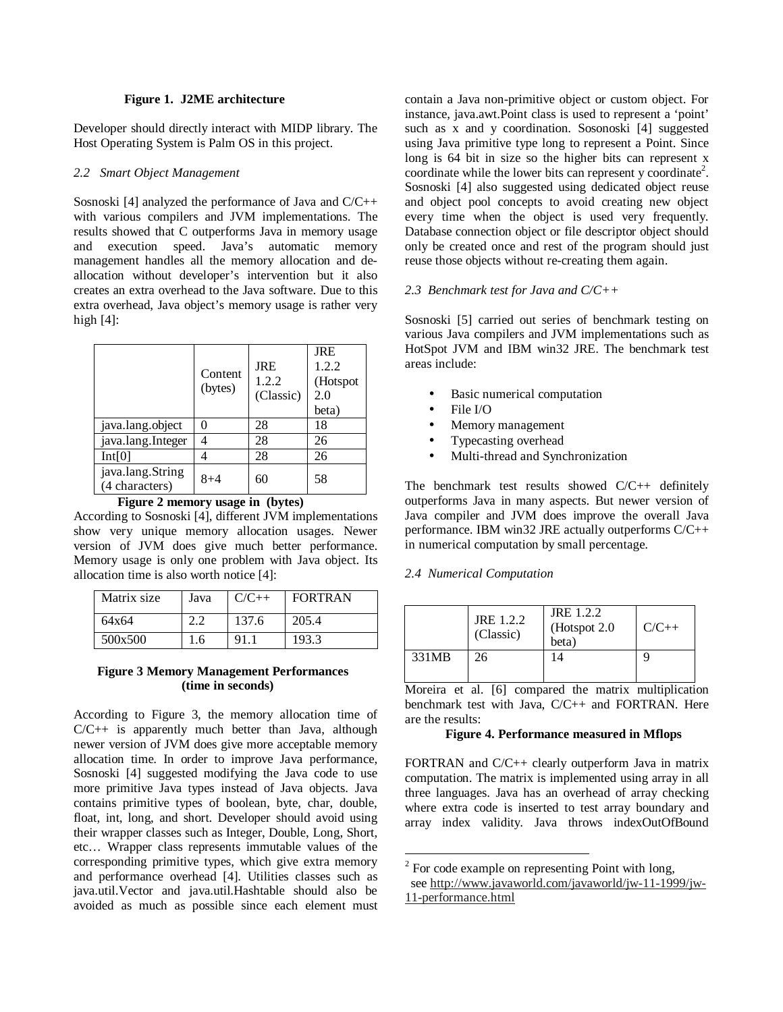## **Figure 1. J2ME architecture**

Developer should directly interact with MIDP library. The Host Operating System is Palm OS in this project.

## *2.2 Smart Object Management*

Sosnoski [4] analyzed the performance of Java and C/C++ with various compilers and JVM implementations. The results showed that C outperforms Java in memory usage and execution speed. Java's automatic memory management handles all the memory allocation and deallocation without developer's intervention but it also creates an extra overhead to the Java software. Due to this extra overhead, Java object's memory usage is rather very high  $[4]$ :

|                                    | Content<br>(bytes) | <b>JRE</b><br>1.2.2<br>(Classic) | <b>JRE</b><br>1.2.2<br>(Hotspot<br>2.0<br>beta) |
|------------------------------------|--------------------|----------------------------------|-------------------------------------------------|
| java.lang.object                   | 0                  | 28                               | 18                                              |
| java.lang.Integer                  |                    | 28                               | 26                                              |
| Int[0]                             |                    | 28                               | 26                                              |
| java.lang.String<br>(4 characters) | $8 + 4$            | 60                               | 58                                              |

**Figure 2 memory usage in (bytes)**

According to Sosnoski [4], different JVM implementations show very unique memory allocation usages. Newer version of JVM does give much better performance. Memory usage is only one problem with Java object. Its allocation time is also worth notice [4]:

| Matrix size | Java | $C/C++$ | <b>FORTRAN</b> |
|-------------|------|---------|----------------|
| 64x64       |      | 137.6   | 205.4          |
| 500x500     | l.6  | 91.     | 193.3          |

## **Figure 3 Memory Management Performances (time in seconds)**

According to Figure 3, the memory allocation time of C/C++ is apparently much better than Java, although newer version of JVM does give more acceptable memory allocation time. In order to improve Java performance, Sosnoski [4] suggested modifying the Java code to use more primitive Java types instead of Java objects. Java contains primitive types of boolean, byte, char, double, float, int, long, and short. Developer should avoid using their wrapper classes such as Integer, Double, Long, Short, etc… Wrapper class represents immutable values of the corresponding primitive types, which give extra memory and performance overhead [4]. Utilities classes such as java.util.Vector and java.util.Hashtable should also be avoided as much as possible since each element must contain a Java non-primitive object or custom object. For instance, java.awt.Point class is used to represent a 'point' such as x and y coordination. Sosonoski [4] suggested using Java primitive type long to represent a Point. Since long is 64 bit in size so the higher bits can represent x coordinate while the lower bits can represent y coordinate<sup>2</sup>. Sosnoski [4] also suggested using dedicated object reuse and object pool concepts to avoid creating new object every time when the object is used very frequently. Database connection object or file descriptor object should only be created once and rest of the program should just reuse those objects without re-creating them again.

# *2.3 Benchmark test for Java and C/C++*

Sosnoski [5] carried out series of benchmark testing on various Java compilers and JVM implementations such as HotSpot JVM and IBM win32 JRE. The benchmark test areas include:

- Basic numerical computation
- File I/O
- Memory management
- Typecasting overhead
- Multi-thread and Synchronization

The benchmark test results showed C/C++ definitely outperforms Java in many aspects. But newer version of Java compiler and JVM does improve the overall Java performance. IBM win32 JRE actually outperforms C/C++ in numerical computation by small percentage.

# *2.4 Numerical Computation*

|       | JRE 1.2.2<br>(Classic) | JRE 1.2.2<br>(Hotspot 2.0)<br>beta) | $C/C++$ |
|-------|------------------------|-------------------------------------|---------|
| 331MB | 26                     | 14                                  |         |

Moreira et al. [6] compared the matrix multiplication benchmark test with Java, C/C++ and FORTRAN. Here are the results:

# **Figure 4. Performance measured in Mflops**

FORTRAN and C/C++ clearly outperform Java in matrix computation. The matrix is implemented using array in all three languages. Java has an overhead of array checking where extra code is inserted to test array boundary and array index validity. Java throws indexOutOfBound

 $2^{2}$  For code example on representing Point with long, see http://www.javaworld.com/javaworld/jw-11-1999/jw-11-performance.html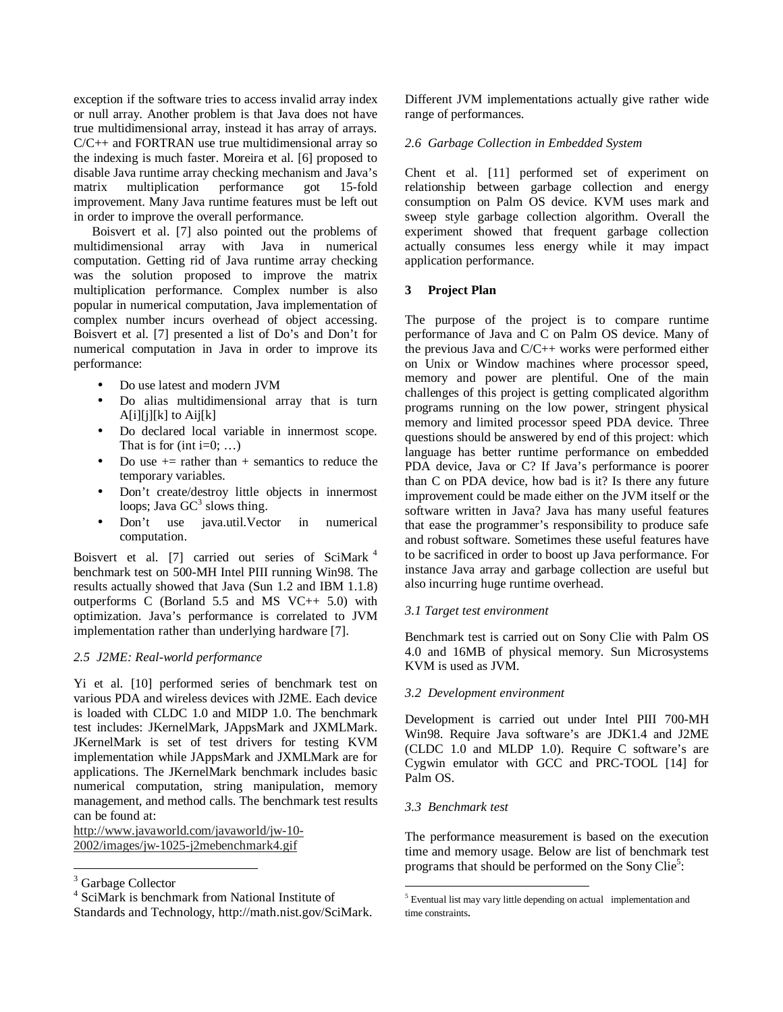exception if the software tries to access invalid array index or null array. Another problem is that Java does not have true multidimensional array, instead it has array of arrays. C/C++ and FORTRAN use true multidimensional array so the indexing is much faster. Moreira et al. [6] proposed to disable Java runtime array checking mechanism and Java's matrix multiplication performance got 15-fold improvement. Many Java runtime features must be left out in order to improve the overall performance.

Boisvert et al. [7] also pointed out the problems of multidimensional array with Java in numerical computation. Getting rid of Java runtime array checking was the solution proposed to improve the matrix multiplication performance. Complex number is also popular in numerical computation, Java implementation of complex number incurs overhead of object accessing. Boisvert et al. [7] presented a list of Do's and Don't for numerical computation in Java in order to improve its performance:

- Do use latest and modern JVM
- Do alias multidimensional array that is turn  $A[i][j][k]$  to  $Aij[k]$
- Do declared local variable in innermost scope. That is for (int i= $0$ ; ...)
- Do use  $+$  = rather than  $+$  semantics to reduce the temporary variables.
- Don't create/destroy little objects in innermost loops; Java  $GC^3$  slows thing.
- Don't use java.util.Vector in numerical computation.

Boisvert et al. [7] carried out series of SciMark<sup>4</sup> benchmark test on 500-MH Intel PIII running Win98. The results actually showed that Java (Sun 1.2 and IBM 1.1.8) outperforms C (Borland 5.5 and MS VC++ 5.0) with optimization. Java's performance is correlated to JVM implementation rather than underlying hardware [7].

### *2.5 J2ME: Real-world performance*

Yi et al. [10] performed series of benchmark test on various PDA and wireless devices with J2ME. Each device is loaded with CLDC 1.0 and MIDP 1.0. The benchmark test includes: JKernelMark, JAppsMark and JXMLMark. JKernelMark is set of test drivers for testing KVM implementation while JAppsMark and JXMLMark are for applications. The JKernelMark benchmark includes basic numerical computation, string manipulation, memory management, and method calls. The benchmark test results can be found at:

http://www.javaworld.com/javaworld/jw-10- 2002/images/jw-1025-j2mebenchmark4.gif

Different JVM implementations actually give rather wide range of performances.

## *2.6 Garbage Collection in Embedded System*

Chent et al. [11] performed set of experiment on relationship between garbage collection and energy consumption on Palm OS device. KVM uses mark and sweep style garbage collection algorithm. Overall the experiment showed that frequent garbage collection actually consumes less energy while it may impact application performance.

## **3 Project Plan**

The purpose of the project is to compare runtime performance of Java and C on Palm OS device. Many of the previous Java and C/C++ works were performed either on Unix or Window machines where processor speed, memory and power are plentiful. One of the main challenges of this project is getting complicated algorithm programs running on the low power, stringent physical memory and limited processor speed PDA device. Three questions should be answered by end of this project: which language has better runtime performance on embedded PDA device, Java or C? If Java's performance is poorer than C on PDA device, how bad is it? Is there any future improvement could be made either on the JVM itself or the software written in Java? Java has many useful features that ease the programmer's responsibility to produce safe and robust software. Sometimes these useful features have to be sacrificed in order to boost up Java performance. For instance Java array and garbage collection are useful but also incurring huge runtime overhead.

### *3.1 Target test environment*

Benchmark test is carried out on Sony Clie with Palm OS 4.0 and 16MB of physical memory. Sun Microsystems KVM is used as JVM.

### *3.2 Development environment*

Development is carried out under Intel PIII 700-MH Win98. Require Java software's are JDK1.4 and J2ME (CLDC 1.0 and MLDP 1.0). Require C software's are Cygwin emulator with GCC and PRC-TOOL [14] for Palm OS.

# *3.3 Benchmark test*

The performance measurement is based on the execution time and memory usage. Below are list of benchmark test programs that should be performed on the Sony Clie<sup>5</sup>:

<sup>&</sup>lt;sup>3</sup> Garbage Collector

<sup>4</sup> SciMark is benchmark from National Institute of Standards and Technology, http://math.nist.gov/SciMark.

<sup>5</sup> Eventual list may vary little depending on actual implementation and time constraints.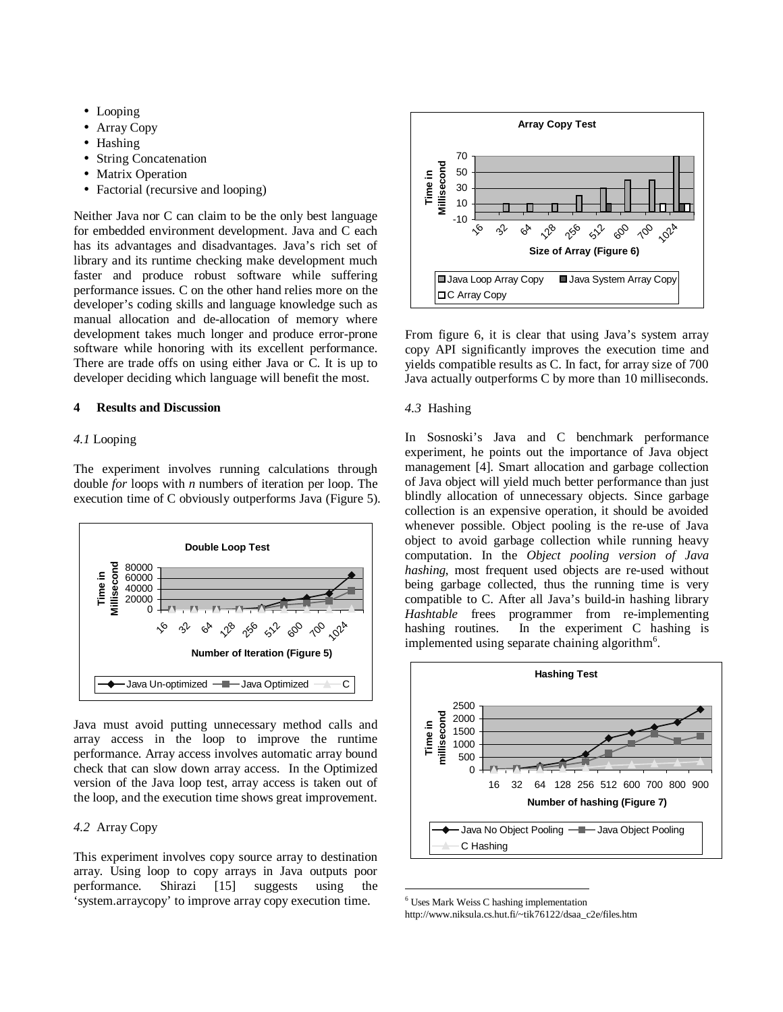- Looping
- Array Copy
- Hashing
- String Concatenation
- Matrix Operation
- Factorial (recursive and looping)

Neither Java nor C can claim to be the only best language for embedded environment development. Java and C each has its advantages and disadvantages. Java's rich set of library and its runtime checking make development much faster and produce robust software while suffering performance issues. C on the other hand relies more on the developer's coding skills and language knowledge such as manual allocation and de-allocation of memory where development takes much longer and produce error-prone software while honoring with its excellent performance. There are trade offs on using either Java or C. It is up to developer deciding which language will benefit the most.

## **4 Results and Discussion**

## *4.1* Looping

The experiment involves running calculations through double *for* loops with *n* numbers of iteration per loop. The execution time of C obviously outperforms Java (Figure 5).



Java must avoid putting unnecessary method calls and array access in the loop to improve the runtime performance. Array access involves automatic array bound check that can slow down array access. In the Optimized version of the Java loop test, array access is taken out of the loop, and the execution time shows great improvement.

# *4.2* Array Copy

This experiment involves copy source array to destination array. Using loop to copy arrays in Java outputs poor performance. Shirazi [15] suggests using the 'system.arraycopy' to improve array copy execution time.



From figure 6, it is clear that using Java's system array copy API significantly improves the execution time and yields compatible results as C. In fact, for array size of 700 Java actually outperforms C by more than 10 milliseconds.

## *4.3* Hashing

In Sosnoski's Java and C benchmark performance experiment, he points out the importance of Java object management [4]. Smart allocation and garbage collection of Java object will yield much better performance than just blindly allocation of unnecessary objects. Since garbage collection is an expensive operation, it should be avoided whenever possible. Object pooling is the re-use of Java object to avoid garbage collection while running heavy computation. In the *Object pooling version of Java hashing*, most frequent used objects are re-used without being garbage collected, thus the running time is very compatible to C. After all Java's build-in hashing library *Hashtable* frees programmer from re-implementing hashing routines. In the experiment C hashing is implemented using separate chaining algorithm<sup>6</sup>.



<sup>6</sup> Uses Mark Weiss C hashing implementation http://www.niksula.cs.hut.fi/~tik76122/dsaa\_c2e/files.htm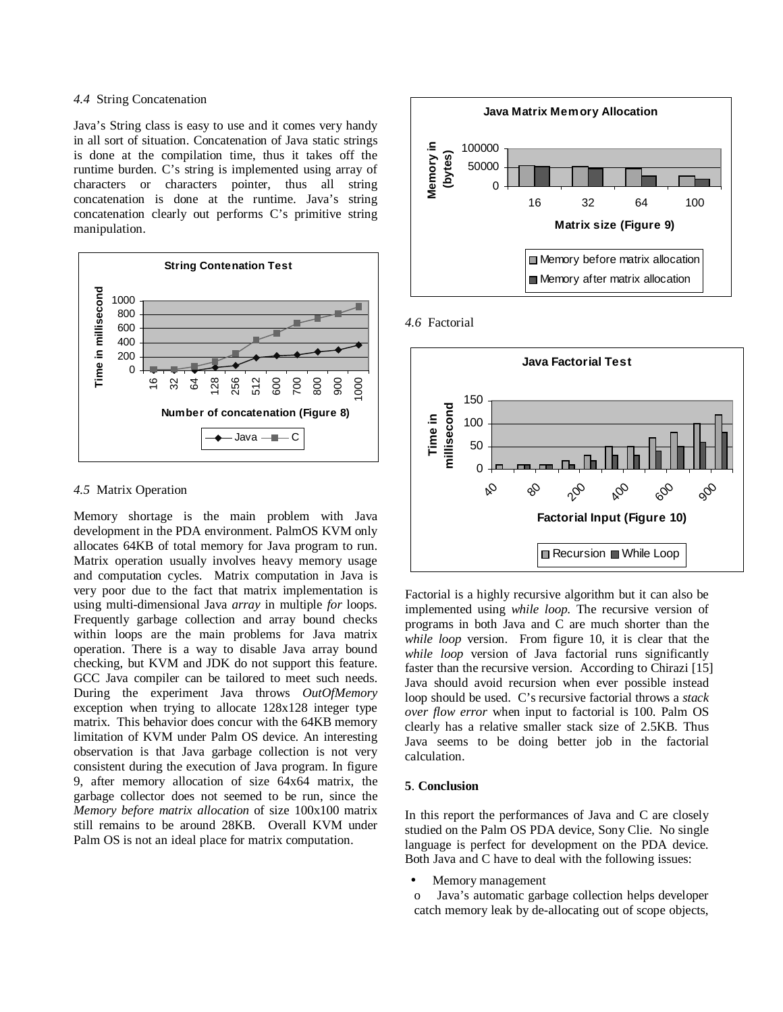# *4.4* String Concatenation

Java's String class is easy to use and it comes very handy in all sort of situation. Concatenation of Java static strings is done at the compilation time, thus it takes off the runtime burden. C's string is implemented using array of characters or characters pointer, thus all string concatenation is done at the runtime. Java's string concatenation clearly out performs C's primitive string manipulation.



#### *4.5* Matrix Operation

Memory shortage is the main problem with Java development in the PDA environment. PalmOS KVM only allocates 64KB of total memory for Java program to run. Matrix operation usually involves heavy memory usage and computation cycles. Matrix computation in Java is very poor due to the fact that matrix implementation is using multi-dimensional Java *array* in multiple *for* loops. Frequently garbage collection and array bound checks within loops are the main problems for Java matrix operation. There is a way to disable Java array bound checking, but KVM and JDK do not support this feature. GCC Java compiler can be tailored to meet such needs. During the experiment Java throws *OutOfMemory* exception when trying to allocate 128x128 integer type matrix. This behavior does concur with the 64KB memory limitation of KVM under Palm OS device. An interesting observation is that Java garbage collection is not very consistent during the execution of Java program. In figure 9, after memory allocation of size 64x64 matrix, the garbage collector does not seemed to be run, since the *Memory before matrix allocation* of size 100x100 matrix still remains to be around 28KB. Overall KVM under Palm OS is not an ideal place for matrix computation.







Factorial is a highly recursive algorithm but it can also be implemented using *while loop*. The recursive version of programs in both Java and C are much shorter than the *while loop* version. From figure 10, it is clear that the *while loop* version of Java factorial runs significantly faster than the recursive version. According to Chirazi [15] Java should avoid recursion when ever possible instead loop should be used. C's recursive factorial throws a *stack over flow error* when input to factorial is 100. Palm OS clearly has a relative smaller stack size of 2.5KB. Thus Java seems to be doing better job in the factorial calculation.

### **5**. **Conclusion**

In this report the performances of Java and C are closely studied on the Palm OS PDA device, Sony Clie. No single language is perfect for development on the PDA device. Both Java and C have to deal with the following issues:

- Memory management
- o Java's automatic garbage collection helps developer catch memory leak by de-allocating out of scope objects,